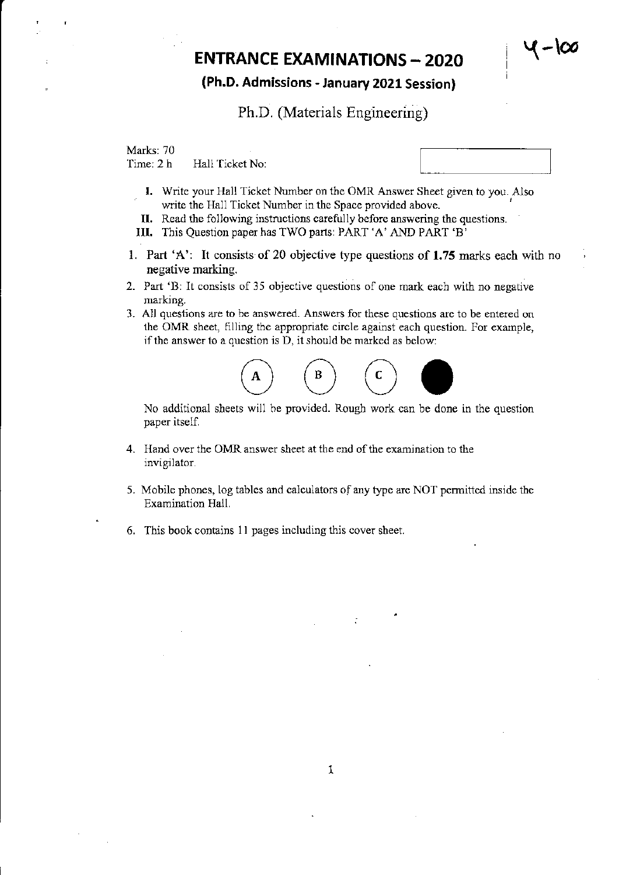# $\mathsf{ENTRANCE}$  EXAMINATIONS - 2020

### (Ph.D. Admissions - January ZOZl Session)

#### Ph.D. (Materials Engineering)

Marks: 70<br>Time: 2 h Hall Ticket No:

- I. Write your Hall Ticket Number on the OMR Answer Sheet given to you. Also write the Hall Ticket Number in the Space provided above.
- II. Read the following instructions carefully before answering the questions.
- III. This Question paper has TWO parts: PART 'A' AND PART 'B'
- l. Part 'A': It consists of 20 objective type questions of 1.75 marks each with no negative marking.
- 2. Part 'B: It consists of 35 objective questions of one mark each with no negative marking.
- 3. All questions are to be answered. Answers for these questions are to be entered on the OMR sheet, filling the appropriate circle against each question. For example,



No additional sheets will be provided. Rough work can be done in the question paper itself

- 4- Hand over the OMR answer sheet at the end of the examination to the invigilator.
- 5. Mobile phones, log tables and calculators of any type are NOT permitted inside the Examination Hall.
- 6. This book contains I I pages including this cover sheet.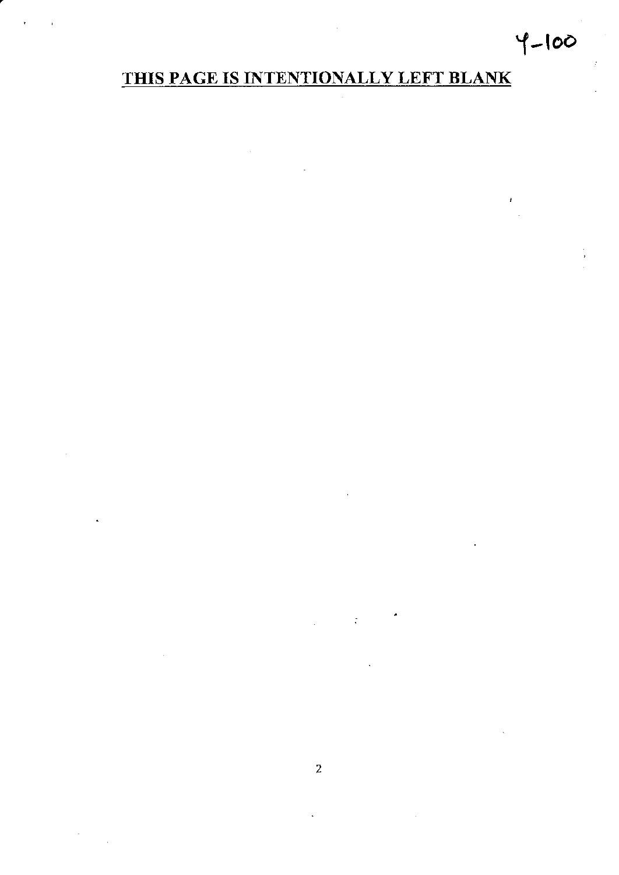## $4 - 100$

 $\mathbf{r}$ 

## THIS PAGE IS INTENTIONALLY LEFT BLANK

 $\ddot{\phantom{0}}$ 

 $\mathcal{L}_{\text{max}}$  and  $\mathcal{L}_{\text{max}}$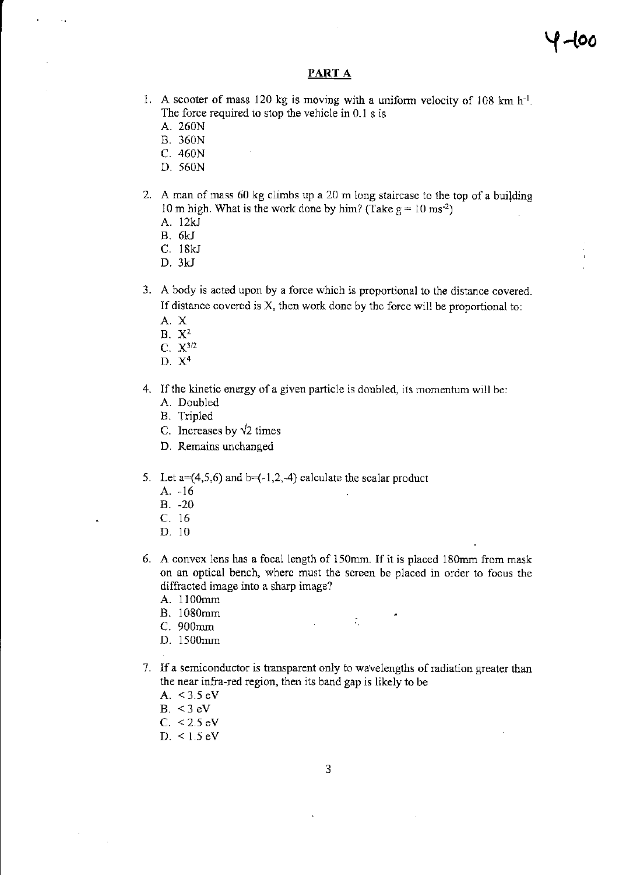#### PART A

- 1. A scooter of mass 120 kg is moving with a uniform velocity of 108 km  $h^{-1}$ . The force required to stop the vehicle in  $0.1$  s is
	- A. 260N
	- 8.360N
	- c.460N
	- D.560N
- 2. A man of mass 60 kg climbs up a 20 m long staircase to the top of a building 10 m high. What is the work done by him? (Take  $g = 10$  ms<sup>-2</sup>)
	- A. 12kJ
	- B.6KJ
	- c. 18kJ
	- D.3KJ
- A body is acted upon by a force which is proportional to the distance covered. 3. If distance covered is  $X$ , then work done by the force will be proportional to:
	- A.X
	- B. X2
	- C. X3/2
	- D.  $X<sup>4</sup>$
- 4. If the kinetic energy of a given particle is doubled, its momentum will be:
	- A. Doubled
	- B. Tripled
	- C. Increases by  $\sqrt{2}$  times
	- D. Remains unchanged
- 5. Let  $a=(4,5,6)$  and  $b=(-1,2,-4)$  calculate the scalar product
	- A.  $-16$
	- B. -20
	- c. l6
	- D. 10
- 6. A convex lens has a focal length of 150mm. If it is placed l80mm from mask on an optical bench, wherc must the screen be placed in order to focus the diffracted image into a sharp image?

 $\mathcal{L}^{\text{max}}$ 

 $\mathcal{L}_{\mathcal{L}}$ 

- A. I l00mm
- B. l080mm
- C. 900mm
- D. 1500mm
- 7. lf a semiconductor is transparent only to wavelengths of mdiation greater thar the near infra-rcd region, then its band gap is likely to be
	- A.  $< 3.5 \text{ eV}$
	- B.  $<$  3 eV
	- $C. < 2.5$  eV
	- D. < 1.5 eV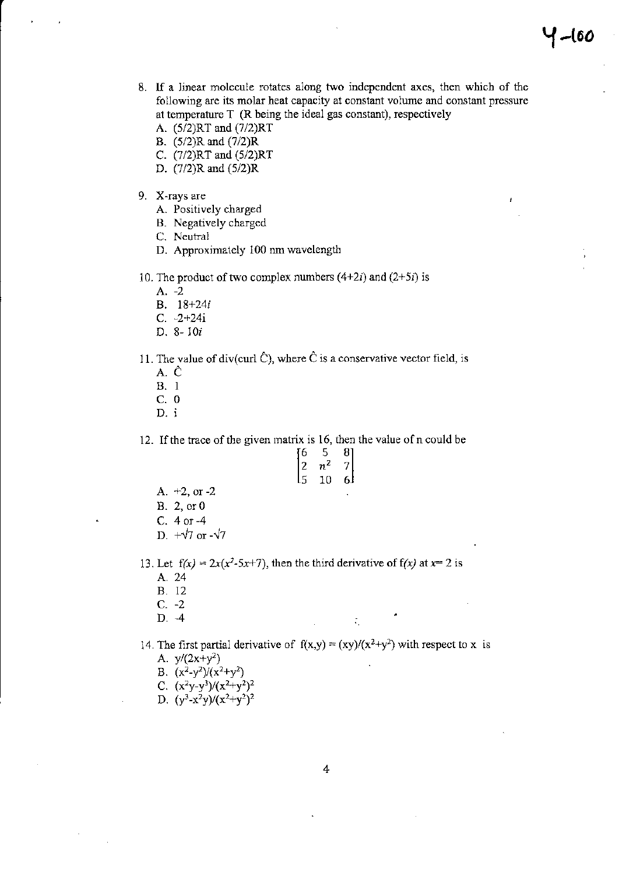- 8. If a linear molecule rotates along two independent axes, then which of the following are its molar heat capacity at constant volume and constant pressure at temperature  $T$  (R being the ideal gas constant), respectively
	- A. (5/2)RT and (7/2)RT
	- B. (5/2)R and (7/2)R
	- C. (7/2)RT and (5/2)RT
	- D. (7/2)R and (5/2)R
- 9. X-rays are
	- A. Positively charged
	- B. Negatively charged
	- C. Neutral
	- D. Approximately 100 nm wavelength
- 10. The product of two complex numbers  $(4+2i)$  and  $(2+5i)$  is
	- A.  $-2$
	- B. 18+24i
	- $C. -2 + 24i$
	- D. 8-10 $i$
- 11. The value of div(curl  $\hat{C}$ ), where  $\hat{C}$  is a conservative vector field, is
	- A. Ĉ
	- **B.** 1
	- $C. 0$
	- D. i

12. If the trace of the given matrix is 16, then the value of n could be

| 6  | 5                | 81 |
|----|------------------|----|
| 12 | $n^{\mathsf{2}}$ | 7  |
| L5 | 10               | اء |
|    |                  |    |

- A.  $+2$ , or  $-2$
- B. 2, or 0
- C. 4 or -4
- D.  $+\sqrt{7}$  or  $-\sqrt{7}$
- 13. Let  $f(x) = 2x(x^2-5x+7)$ , then the third derivative of  $f(x)$  at  $x=2$  is A. 24
	- **B.** 12
	- $C. -2$
	- $D. -4$
- 14. The first partial derivative of  $f(x,y) = (xy)/(x^2+y^2)$  with respect to x is A.  $y/(2x+y^2)$

÷

- 
- B.  $(x^2-y^2)/(x^2+y^2)$ C.  $(x^2y-y^3)/(x^2+y^2)^2$
- 
- D.  $(y^3-x^2y)/(x^2+y^2)^2$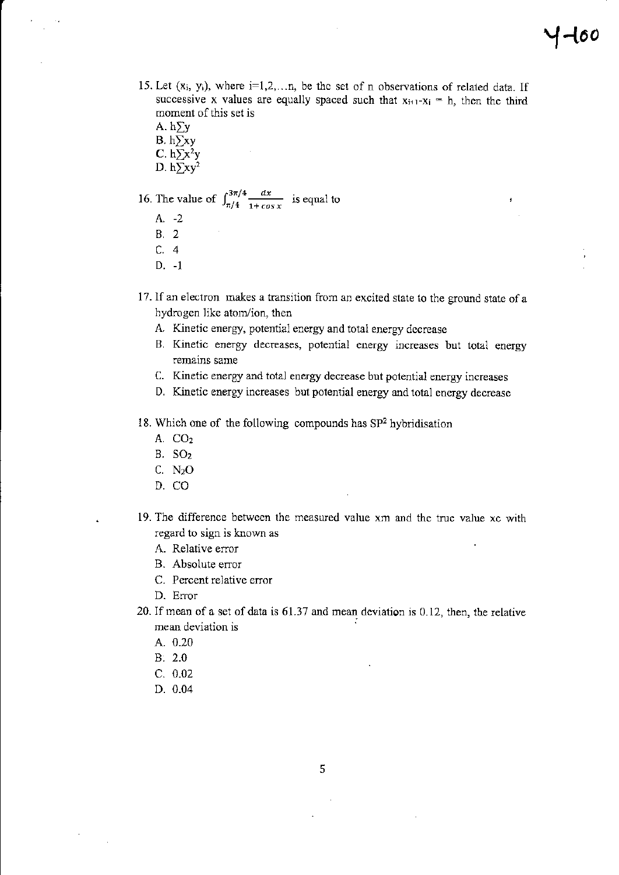- 15. Let  $(x_i, y_i)$ , where  $i=1,2,...n$ , be the set of n observations of related data. If successive x values are equally spaced such that  $x_{i+1} - x_i = h$ , then the third moment of this set is
	- A.  $h\Sigma y$ B.  $h\sum xy$ C.  $h\Sigma x^2y$
	- D.  $h\Sigma xy^2$

16. The value of  $\int_{\pi/4}^{3\pi/4} \frac{dx}{1 + \cos x}$  is equal to

- A. -2
- **B.** 2
- $C.4$
- $D. -1$
- 17. If an electron makes a transition from an excited state to the ground state of a hydrogen like atom/ion, then
	- A. Kinetic energy, potential energy and total energy decrease
	- B. Kinetic energy decreases, potential energy increases but total energy remains same
	- C. Kinetic energy and total energy decrease but potential energy increases
	- D. Kinetic energy increases but potential energy and total energy decrease
- 18. Which one of the following compounds has  $SP<sup>2</sup>$  hybridisation
	- $A. CO<sub>2</sub>$
	- $B. SO<sub>2</sub>$
	- $C. N<sub>2</sub>O$
	- D. CO
- 19. The difference between the measured value xm and the true value xc with regard to sign is known as
	- A. Relative error
	- B. Absolute error
	- C. Percent relative error
	- D. Error
- 20. If mean of a set of data is 61.37 and mean deviation is 0.12, then, the relative mean deviation is
	- A. 0.20
	- $B. 2.0$
	- $C. 0.02$
	- D. 0.04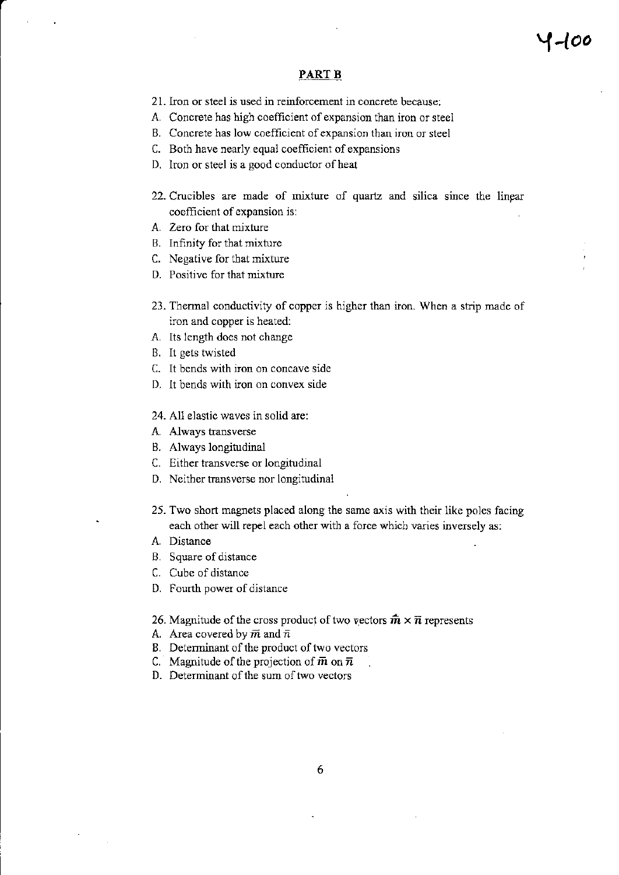#### PART B

- 21. Iron or steel is used in reinforcement in concrete because:
- A. Concrete has high coefficient of expansion than iron or steel
- B. Concrete has low coefficient of expansion than iron or steel
- C. Both have nearly equal coefficient of expansions.
- D. Iron or steel is a good conductor of heat
- 22. Crucibles are made of mixture of quartz and silica since the linear coefficient of expansion is:
- A. Zero for that mixture
- B. Infinity for that mixture
- C. Negative for that mixture
- D. Positive for that mixture
- 23. Thermal conductivity of copper is higher than iron. When a strip made of iron and copper is heated:
- A. Its length does not change
- B. 11 gets twisted
- C. It bends with iron on concave side
- D. lt bends wilh iron on convex side
- 24. All elastic waves in solid are:
- A. Always transverse
- B. Always longitudinal
- C. Either trarsverse or longitudinal
- D. Neither transverse nor longitudinal
- 25. Two short magnets placed along the same axis with their like poles facing each other will repel each other with a force whicb varies inversely as:
- A. Distance
- B. Square of distance
- C. Cube of distance
- D. Fourth power of distance
- 26. Magnitude of the cross product of two vectors  $\hat{m} \times \overline{n}$  represents
- A. Area covered by  $\overline{m}$  and  $\overline{n}$
- B. Deteminant of the product of two vectors
- C. Magnitude of the projection of  $\bar{m}$  on  $\bar{n}$
- D. Determinant of the sum of two vectors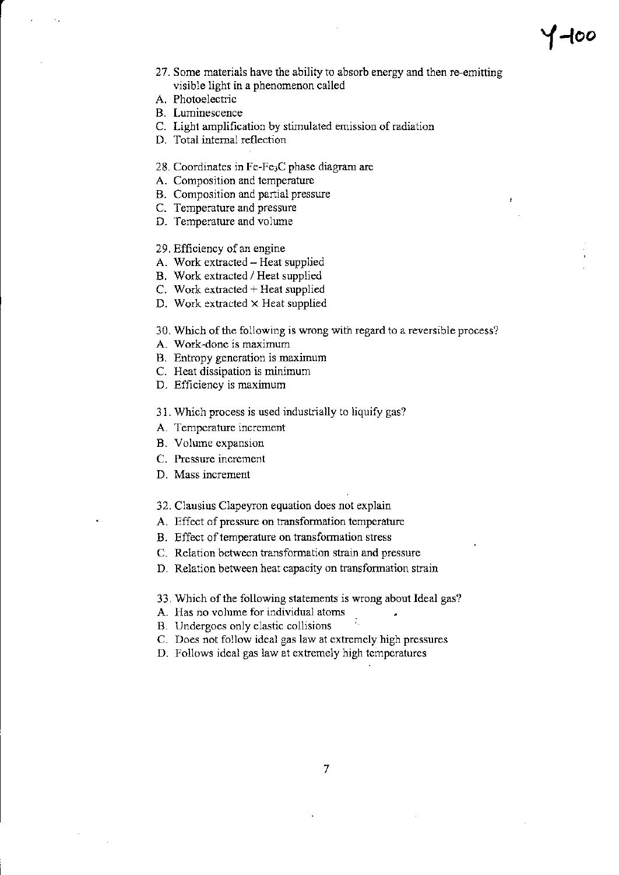## $f$ -100

- 27. Some materials have the ability to absorb energy and then re-emitting visible light in a phenomenon called
- A. Photoelectric
- **B.** Luminescence
- C. Light amplification by stimulated emission of radiation
- D. Total internal reflection
- 28. Coordinates in Fe-Fe3C phase diagram are
- A. Composition and temperature
- B. Composition and partial pressure
- C. Temperature and pressure
- D. Temperature and volume
- 29. Efficiency of an engine
- A. Work extracted Heat supplied
- B. Work extracted / Heat supplied
- C. Work extracted + Heat supplied
- D. Work extracted × Heat supplied

30. Which of the following is wrong with regard to a reversible process?

- A. Work-done is maximum
- B. Entropy generation is maximum
- C. Heat dissipation is minimum
- D. Efficiency is maximum
- 31. Which process is used industrially to liquify gas?
- A. Temperature increment
- B. Volume expansion
- C. Pressure increment
- D. Mass increment
- 32. Clausius Clapeyron equation does not explain
- A. Effect of pressure on transformation temperature
- B. Effect of temperature on transformation stress
- C. Relation between transformation strain and pressure
- D. Relation between heat capacity on transformation strain
- 33. Which of the following statements is wrong about Ideal gas?
- A. Has no volume for individual atoms
- B. Undergoes only elastic collisions
- C. Does not follow ideal gas law at extremely high pressures
- D. Follows ideal gas law at extremely high temperatures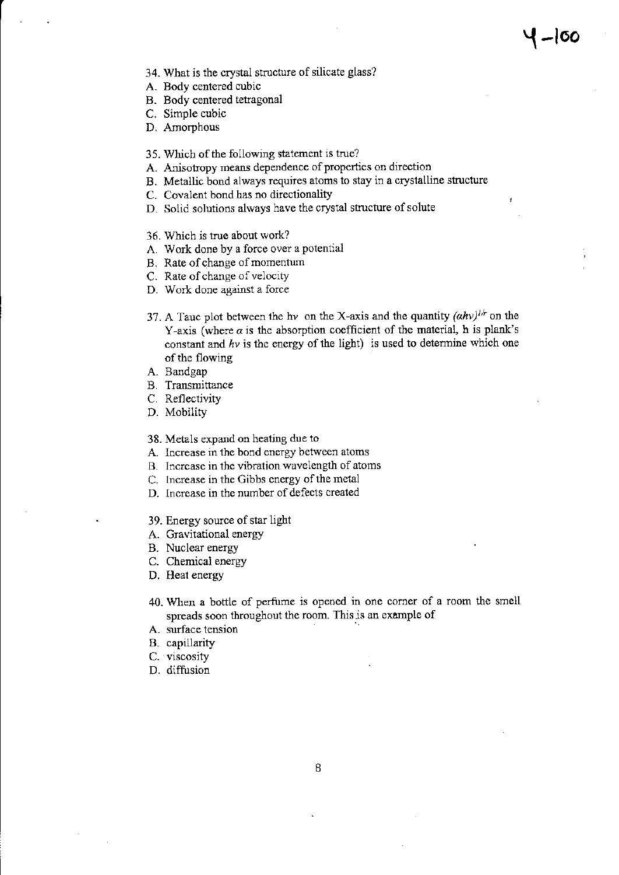- 34. What is the crystal structure of silicate glass?
- A. Body centered cubic
- B. Body centered tetragonal
- C. Simple cubic
- D. Amorphous
- 35. Which of the following statement is true?
- A. Anisotropy means dependence of properties on direction
- B. Metallic bond always requires atoms to stay in a crystalline structure
- C. Covalent bond has no directionality
- D. Solid solutions always have the crystal structure of solute
- 36. Which is true about work?
- A. Work done by a force over a potential
- B. Rate of change of momentum
- C. Rate of change of velocity
- D. Work done against a force
- 37. A Tauc plot between the hv on the X-axis and the quantity  $(ahv)^{1/r}$  on the Y-axis (where  $\alpha$  is the absorption coefficient of the material, h is plank's constant and  $hv$  is the energy of the light) is used to determine which one of the flowing
- A. Bandgap
- B. Transmittance
- C. Reflectivity
- D. Mobility
- 38. Metals expand on heating due to
- A. Increase in thc bond energy between atoms
- B. lncrcase in the vibration wavelength of atoms
- C. Increase in the Gibbs cnergy of the metal
- D. Increase in the number of defects created
- 39. Energy souce of star light
- A. Gravitational energy
- B. Nuclear energy
- C. Chemicai energy
- D. Heat energy
- 40. Wlen a bottle of perfume is opened in one comer of a room the smell spreads soon throughout the room. This is an example of
- A. surface tension
- B. capillarity
- C. viscosity
- D. diffusion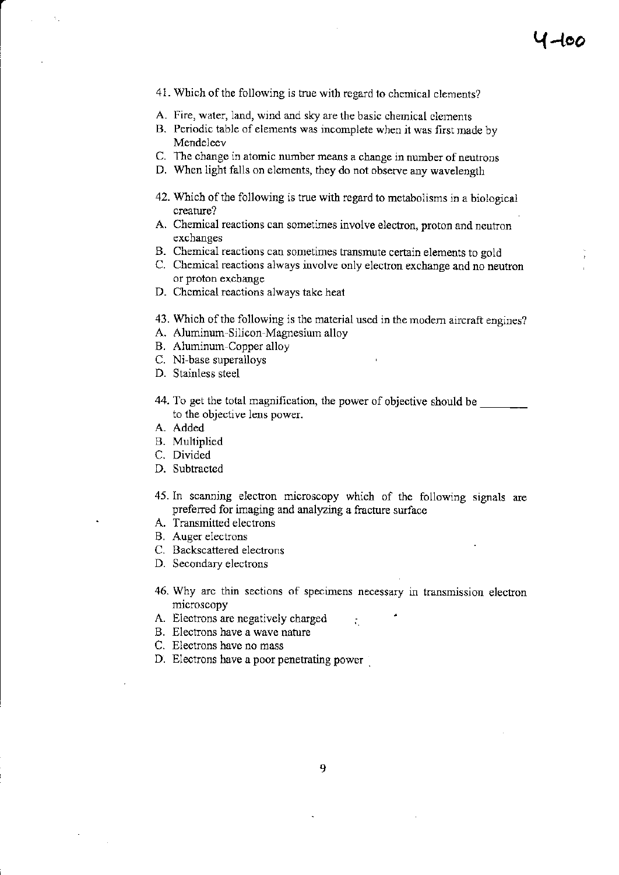- 41. Which of the following is true with regard to chemical elements?
- A. Fire, water, land, wind and sky are the basic chemical elements
- B. Periodic table of elements was incomplete when it was first made by Mendeleev
- C. The change in atomic number means a change in number of neutrons
- D. When light falls on elements, they do not observe any wavelength
- 42. Which of the following is true with regard to metabolisms in a biological creature?
- A. Chemical reactions can sometimes involve electron, proton and neutron exchanges
- B. Chemical reactions can sometimes transmute certain elements to gold
- C. Chemical reactions always involve only electron exchange and no neutron or proton exchange
- D. Chemical reactions always take heat
- 43. Which of the following is the material used in the modern aircraft engines?
- A. Aluminum-Silicon-Magnesium alloy
- B. Aluminum-Copper alloy
- C. Ni-base superalloys
- D. Stainless steel
- 44. To get the total magnification, the power of objective should be to the objective lens power.
- A. Added
- **B.** Multiplied
- C. Divided
- D. Subtracted
- 45. In scanning electron microscopy which of the following signals are preferred for imaging and analyzing a fracture surface
- A. Transmitted electrons
- B. Auger electrons
- C. Backscattered electrons
- D. Secondary electrons
- 46. Why are thin sections of specimens necessary in transmission electron microscopy

÷.

- A. Electrons are negatively charged
- B. Electrons have a wave nature
- C. Electrons have no mass
- D. Electrons have a poor penetrating power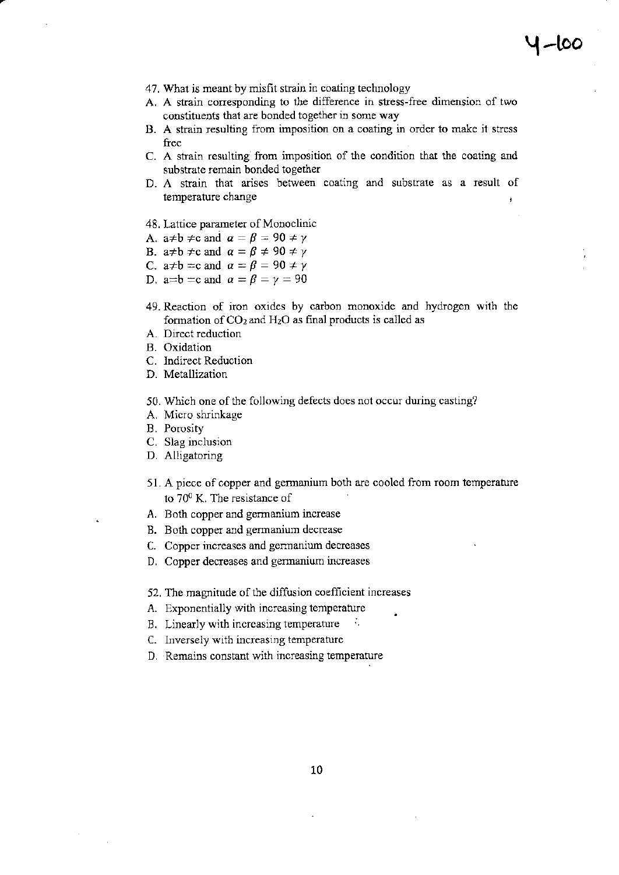- 47. What is meant by misfit strain in coating technology
- A. A strain corresponding to the difference in stress-free dimension of two constituents that are bonded together in some way
- B. A strain resulting from imposition on a coating in order to make it stress free
- C. A strain resulting from imposition of the condition that the coating and substrate remain bonded together
- D. A strain that arises between coating and substrate as a result of temperature change
- 48. Lattice parameter of Monoclinic
- A. a≠b  $\neq$ c and  $\alpha = \beta = 90 \neq \gamma$
- B. a≠b  $\neq$ c and  $\alpha = \beta \neq 90 \neq \gamma$
- C. a≠b = c and  $\alpha = \beta = 90 \neq y$
- D. a=b = c and  $\alpha = \beta = \gamma = 90$
- 49. Reaction of iron oxides by carbon monoxide and hydrogen with the formation of  $CO<sub>2</sub>$  and  $H<sub>2</sub>O$  as final products is called as
- A. Direct reduction
- B. Oxidation
- C. Indirect Reduction
- D. Metallization
- 50. Which one of the following defects does not occur during casting?
- A. Micro shrinkage
- B. Porosity
- C. Slag inclusion
- D. Aliigatoring
- 51. A piece of copper and germanium both are cooled from room temperature to  $70^0$  K. The resistance of
- A. Both copper and gennanium increase
- B. Both copper ard germanium decrease
- C. Copper increascs and gennanium decreases
- D. Copper decreases and germanium increases
- 52. The magnitude of the diffusion coefficient increases
- A. Exponentially with increasing temperature
- B. Linearly with increasing temperature
- C. Inversely with increasing temperature
- D, Remains constant wjth increasing tempemture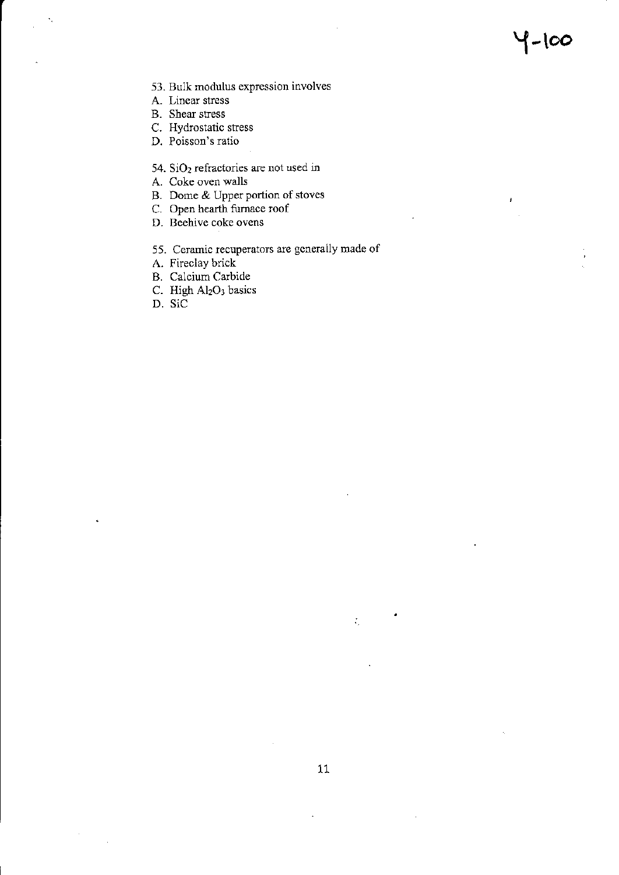Y-too

J.

- 53. Bulk modulus expression involves
- A. Linear stress
- **B.** Shear stress
- C. Hydrostatic stress
- D. Poisson's ratio
- 54.  $SiO<sub>2</sub>$  refractories are not used in
- A. Coke oven walls
- B. Dome & Upper portion of stoves
- C. Open hearth furnace roof
- D. Beehive coke ovens
- 55. Ceramic recuperators are gcnerally made of
- A. Fireclay brick
- B. Calcium Carbide
- C. High Al<sub>2</sub>O<sub>3</sub> basics
- D. SiC

 $\zeta$